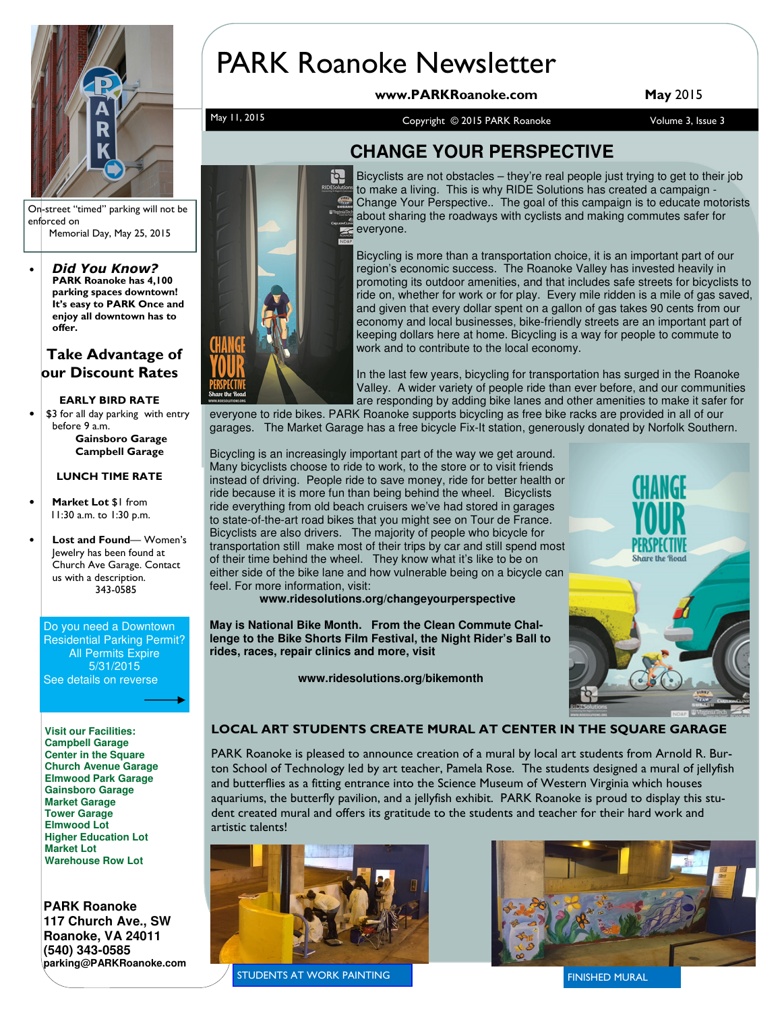

PARK Roanoke Newsletter

www.PARKRoanoke.com May 2015

May 11, 2015 May 11, 2015 May 11, 2015 May 11, 2015 May 11, 2015 May 11, 2015 May 11, 2015 May 10, 2016 May 1

On-street "timed" parking will not be enforced on Memorial Day, May 25, 2015

• Did You Know? PARK Roanoke has 4,100 parking spaces downtown! It's easy to PARK Once and enjoy all downtown has to offer.

### Take Advantage of our Discount Rates

### EARLY BIRD RATE

\$3 for all day parking with entry before 9 a.m. Gainsboro Garage Campbell Garage

### LUNCH TIME RATE

- Market Lot \$1 from 11:30 a.m. to 1:30 p.m.
- Lost and Found- Women's Jewelry has been found at Church Ave Garage. Contact us with a description. 343-0585

Do you need a Downtown Residential Parking Permit? All Permits Expire 5/31/2015 See details on reverse

**Visit our Facilities: Campbell Garage Center in the Square Church Avenue Garage Elmwood Park Garage Gainsboro Garage Market Garage Tower Garage Elmwood Lot Higher Education Lot Market Lot Warehouse Row Lot** 

**PARK Roanoke 117 Church Ave., SW Roanoke, VA 24011 (540) 343-0585 parking@PARKRoanoke.com** 



## **CHANGE YOUR PERSPECTIVE**

Bicyclists are not obstacles – they're real people just trying to get to their job to make a living. This is why RIDE Solutions has created a campaign - Change Your Perspective.. The goal of this campaign is to educate motorists about sharing the roadways with cyclists and making commutes safer for everyone.

Bicycling is more than a transportation choice, it is an important part of our region's economic success. The Roanoke Valley has invested heavily in promoting its outdoor amenities, and that includes safe streets for bicyclists to ride on, whether for work or for play. Every mile ridden is a mile of gas saved, and given that every dollar spent on a gallon of gas takes 90 cents from our economy and local businesses, bike-friendly streets are an important part of keeping dollars here at home. Bicycling is a way for people to commute to work and to contribute to the local economy.

In the last few years, bicycling for transportation has surged in the Roanoke Valley. A wider variety of people ride than ever before, and our communities are responding by adding bike lanes and other amenities to make it safer for

everyone to ride bikes. PARK Roanoke supports bicycling as free bike racks are provided in all of our garages. The Market Garage has a free bicycle Fix-It station, generously donated by Norfolk Southern.

Bicycling is an increasingly important part of the way we get around. Many bicyclists choose to ride to work, to the store or to visit friends instead of driving. People ride to save money, ride for better health or ride because it is more fun than being behind the wheel. Bicyclists ride everything from old beach cruisers we've had stored in garages to state-of-the-art road bikes that you might see on Tour de France. Bicyclists are also drivers. The majority of people who bicycle for transportation still make most of their trips by car and still spend most of their time behind the wheel. They know what it's like to be on either side of the bike lane and how vulnerable being on a bicycle can feel. For more information, visit:

**www.ridesolutions.org/changeyourperspective** 

**May is National Bike Month. From the Clean Commute Challenge to the Bike Shorts Film Festival, the Night Rider's Ball to rides, races, repair clinics and more, visit** 

 **www.ridesolutions.org/bikemonth** 



### LOCAL ART STUDENTS CREATE MURAL AT CENTER IN THE SQUARE GARAGE

PARK Roanoke is pleased to announce creation of a mural by local art students from Arnold R. Burton School of Technology led by art teacher, Pamela Rose. The students designed a mural of jellyfish and butterflies as a fitting entrance into the Science Museum of Western Virginia which houses aquariums, the butterfly pavilion, and a jellyfish exhibit. PARK Roanoke is proud to display this student created mural and offers its gratitude to the students and teacher for their hard work and artistic talents!



STUDENTS AT WORK PAINTING FINISHED MURAL